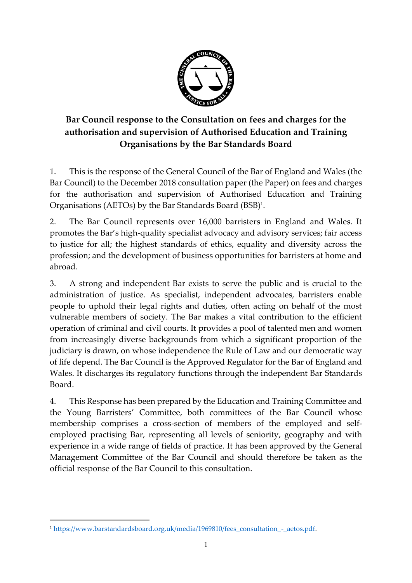

# **Bar Council response to the Consultation on fees and charges for the authorisation and supervision of Authorised Education and Training Organisations by the Bar Standards Board**

1. This is the response of the General Council of the Bar of England and Wales (the Bar Council) to the December 2018 consultation paper (the Paper) on fees and charges for the authorisation and supervision of Authorised Education and Training Organisations (AETOs) by the Bar Standards Board (BSB)<sup>1</sup> .

2. The Bar Council represents over 16,000 barristers in England and Wales. It promotes the Bar's high-quality specialist advocacy and advisory services; fair access to justice for all; the highest standards of ethics, equality and diversity across the profession; and the development of business opportunities for barristers at home and abroad.

3. A strong and independent Bar exists to serve the public and is crucial to the administration of justice. As specialist, independent advocates, barristers enable people to uphold their legal rights and duties, often acting on behalf of the most vulnerable members of society. The Bar makes a vital contribution to the efficient operation of criminal and civil courts. It provides a pool of talented men and women from increasingly diverse backgrounds from which a significant proportion of the judiciary is drawn, on whose independence the Rule of Law and our democratic way of life depend. The Bar Council is the Approved Regulator for the Bar of England and Wales. It discharges its regulatory functions through the independent Bar Standards Board.

4. This Response has been prepared by the Education and Training Committee and the Young Barristers' Committee, both committees of the Bar Council whose membership comprises a cross-section of members of the employed and selfemployed practising Bar, representing all levels of seniority, geography and with experience in a wide range of fields of practice. It has been approved by the General Management Committee of the Bar Council and should therefore be taken as the official response of the Bar Council to this consultation.

 $\overline{a}$ 

<sup>1</sup> [https://www.barstandardsboard.org.uk/media/1969810/fees\\_consultation\\_-\\_aetos.pdf.](https://www.barstandardsboard.org.uk/media/1969810/fees_consultation_-_aetos.pdf)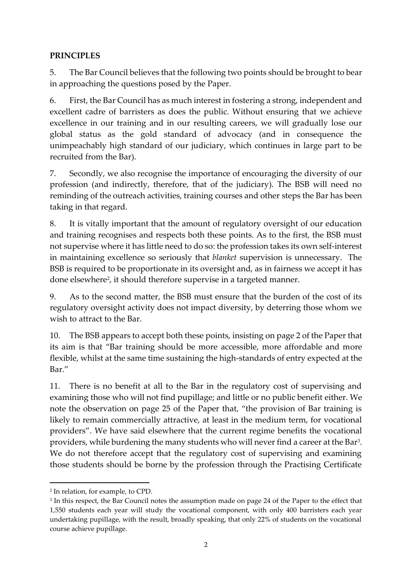#### **PRINCIPLES**

5. The Bar Council believes that the following two points should be brought to bear in approaching the questions posed by the Paper.

6. First, the Bar Council has as much interest in fostering a strong, independent and excellent cadre of barristers as does the public. Without ensuring that we achieve excellence in our training and in our resulting careers, we will gradually lose our global status as the gold standard of advocacy (and in consequence the unimpeachably high standard of our judiciary, which continues in large part to be recruited from the Bar).

7. Secondly, we also recognise the importance of encouraging the diversity of our profession (and indirectly, therefore, that of the judiciary). The BSB will need no reminding of the outreach activities, training courses and other steps the Bar has been taking in that regard.

8. It is vitally important that the amount of regulatory oversight of our education and training recognises and respects both these points. As to the first, the BSB must not supervise where it has little need to do so: the profession takes its own self-interest in maintaining excellence so seriously that *blanket* supervision is unnecessary. The BSB is required to be proportionate in its oversight and, as in fairness we accept it has done elsewhere<sup>2</sup>, it should therefore supervise in a targeted manner.

9. As to the second matter, the BSB must ensure that the burden of the cost of its regulatory oversight activity does not impact diversity, by deterring those whom we wish to attract to the Bar.

10. The BSB appears to accept both these points, insisting on page 2 of the Paper that its aim is that "Bar training should be more accessible, more affordable and more flexible, whilst at the same time sustaining the high-standards of entry expected at the Bar."

11. There is no benefit at all to the Bar in the regulatory cost of supervising and examining those who will not find pupillage; and little or no public benefit either. We note the observation on page 25 of the Paper that, "the provision of Bar training is likely to remain commercially attractive, at least in the medium term, for vocational providers". We have said elsewhere that the current regime benefits the vocational providers, while burdening the many students who will never find a career at the Bar<sup>3</sup>. We do not therefore accept that the regulatory cost of supervising and examining those students should be borne by the profession through the Practising Certificate

**.** 

<sup>2</sup> In relation, for example, to CPD.

<sup>3</sup> In this respect, the Bar Council notes the assumption made on page 24 of the Paper to the effect that 1,550 students each year will study the vocational component, with only 400 barristers each year undertaking pupillage, with the result, broadly speaking, that only 22% of students on the vocational course achieve pupillage.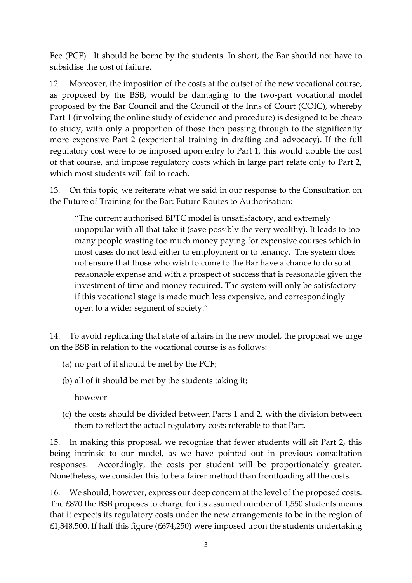Fee (PCF). It should be borne by the students. In short, the Bar should not have to subsidise the cost of failure.

12. Moreover, the imposition of the costs at the outset of the new vocational course, as proposed by the BSB, would be damaging to the two-part vocational model proposed by the Bar Council and the Council of the Inns of Court (COIC), whereby Part 1 (involving the online study of evidence and procedure) is designed to be cheap to study, with only a proportion of those then passing through to the significantly more expensive Part 2 (experiential training in drafting and advocacy). If the full regulatory cost were to be imposed upon entry to Part 1, this would double the cost of that course, and impose regulatory costs which in large part relate only to Part 2, which most students will fail to reach.

13. On this topic, we reiterate what we said in our response to the Consultation on the Future of Training for the Bar: Future Routes to Authorisation:

"The current authorised BPTC model is unsatisfactory, and extremely unpopular with all that take it (save possibly the very wealthy). It leads to too many people wasting too much money paying for expensive courses which in most cases do not lead either to employment or to tenancy. The system does not ensure that those who wish to come to the Bar have a chance to do so at reasonable expense and with a prospect of success that is reasonable given the investment of time and money required. The system will only be satisfactory if this vocational stage is made much less expensive, and correspondingly open to a wider segment of society."

14. To avoid replicating that state of affairs in the new model, the proposal we urge on the BSB in relation to the vocational course is as follows:

- (a) no part of it should be met by the PCF;
- (b) all of it should be met by the students taking it;

however

(c) the costs should be divided between Parts 1 and 2, with the division between them to reflect the actual regulatory costs referable to that Part.

15. In making this proposal, we recognise that fewer students will sit Part 2, this being intrinsic to our model, as we have pointed out in previous consultation responses. Accordingly, the costs per student will be proportionately greater. Nonetheless, we consider this to be a fairer method than frontloading all the costs.

16. We should, however, express our deep concern at the level of the proposed costs. The £870 the BSB proposes to charge for its assumed number of 1,550 students means that it expects its regulatory costs under the new arrangements to be in the region of £1,348,500. If half this figure (£674,250) were imposed upon the students undertaking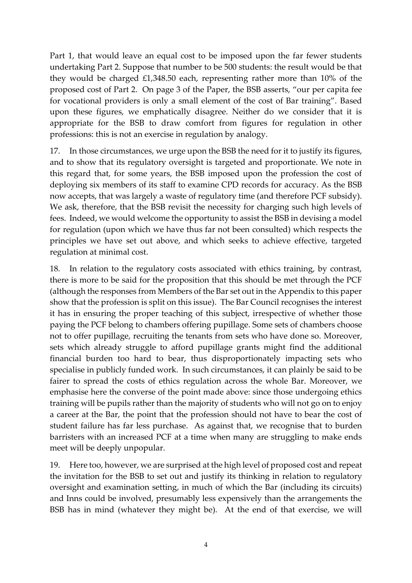Part 1, that would leave an equal cost to be imposed upon the far fewer students undertaking Part 2. Suppose that number to be 500 students: the result would be that they would be charged £1,348.50 each, representing rather more than 10% of the proposed cost of Part 2. On page 3 of the Paper, the BSB asserts, "our per capita fee for vocational providers is only a small element of the cost of Bar training". Based upon these figures, we emphatically disagree. Neither do we consider that it is appropriate for the BSB to draw comfort from figures for regulation in other professions: this is not an exercise in regulation by analogy.

17. In those circumstances, we urge upon the BSB the need for it to justify its figures, and to show that its regulatory oversight is targeted and proportionate. We note in this regard that, for some years, the BSB imposed upon the profession the cost of deploying six members of its staff to examine CPD records for accuracy. As the BSB now accepts, that was largely a waste of regulatory time (and therefore PCF subsidy). We ask, therefore, that the BSB revisit the necessity for charging such high levels of fees. Indeed, we would welcome the opportunity to assist the BSB in devising a model for regulation (upon which we have thus far not been consulted) which respects the principles we have set out above, and which seeks to achieve effective, targeted regulation at minimal cost.

18. In relation to the regulatory costs associated with ethics training, by contrast, there is more to be said for the proposition that this should be met through the PCF (although the responses from Members of the Bar set out in the Appendix to this paper show that the profession is split on this issue). The Bar Council recognises the interest it has in ensuring the proper teaching of this subject, irrespective of whether those paying the PCF belong to chambers offering pupillage. Some sets of chambers choose not to offer pupillage, recruiting the tenants from sets who have done so. Moreover, sets which already struggle to afford pupillage grants might find the additional financial burden too hard to bear, thus disproportionately impacting sets who specialise in publicly funded work. In such circumstances, it can plainly be said to be fairer to spread the costs of ethics regulation across the whole Bar. Moreover, we emphasise here the converse of the point made above: since those undergoing ethics training will be pupils rather than the majority of students who will not go on to enjoy a career at the Bar, the point that the profession should not have to bear the cost of student failure has far less purchase. As against that, we recognise that to burden barristers with an increased PCF at a time when many are struggling to make ends meet will be deeply unpopular.

19. Here too, however, we are surprised at the high level of proposed cost and repeat the invitation for the BSB to set out and justify its thinking in relation to regulatory oversight and examination setting, in much of which the Bar (including its circuits) and Inns could be involved, presumably less expensively than the arrangements the BSB has in mind (whatever they might be). At the end of that exercise, we will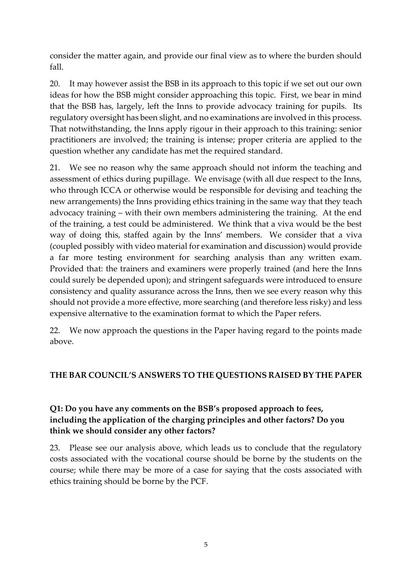consider the matter again, and provide our final view as to where the burden should fall.

20. It may however assist the BSB in its approach to this topic if we set out our own ideas for how the BSB might consider approaching this topic. First, we bear in mind that the BSB has, largely, left the Inns to provide advocacy training for pupils. Its regulatory oversight has been slight, and no examinations are involved in this process. That notwithstanding, the Inns apply rigour in their approach to this training: senior practitioners are involved; the training is intense; proper criteria are applied to the question whether any candidate has met the required standard.

21. We see no reason why the same approach should not inform the teaching and assessment of ethics during pupillage. We envisage (with all due respect to the Inns, who through ICCA or otherwise would be responsible for devising and teaching the new arrangements) the Inns providing ethics training in the same way that they teach advocacy training – with their own members administering the training. At the end of the training, a test could be administered. We think that a viva would be the best way of doing this, staffed again by the Inns' members. We consider that a viva (coupled possibly with video material for examination and discussion) would provide a far more testing environment for searching analysis than any written exam. Provided that: the trainers and examiners were properly trained (and here the Inns could surely be depended upon); and stringent safeguards were introduced to ensure consistency and quality assurance across the Inns, then we see every reason why this should not provide a more effective, more searching (and therefore less risky) and less expensive alternative to the examination format to which the Paper refers.

22. We now approach the questions in the Paper having regard to the points made above.

#### **THE BAR COUNCIL'S ANSWERS TO THE QUESTIONS RAISED BY THE PAPER**

### **Q1: Do you have any comments on the BSB's proposed approach to fees, including the application of the charging principles and other factors? Do you think we should consider any other factors?**

23. Please see our analysis above, which leads us to conclude that the regulatory costs associated with the vocational course should be borne by the students on the course; while there may be more of a case for saying that the costs associated with ethics training should be borne by the PCF.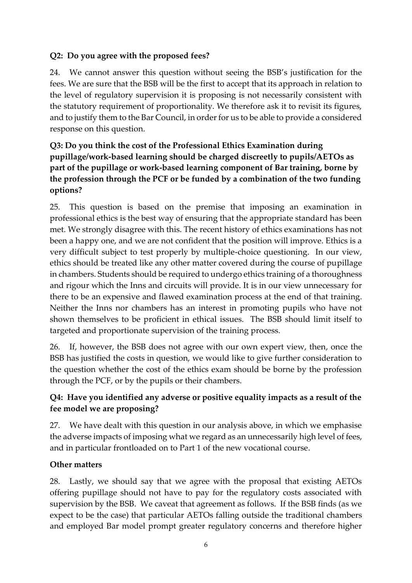### **Q2: Do you agree with the proposed fees?**

24. We cannot answer this question without seeing the BSB's justification for the fees. We are sure that the BSB will be the first to accept that its approach in relation to the level of regulatory supervision it is proposing is not necessarily consistent with the statutory requirement of proportionality. We therefore ask it to revisit its figures, and to justify them to the Bar Council, in order for us to be able to provide a considered response on this question.

# **Q3: Do you think the cost of the Professional Ethics Examination during pupillage/work-based learning should be charged discreetly to pupils/AETOs as part of the pupillage or work-based learning component of Bar training, borne by the profession through the PCF or be funded by a combination of the two funding options?**

25. This question is based on the premise that imposing an examination in professional ethics is the best way of ensuring that the appropriate standard has been met. We strongly disagree with this. The recent history of ethics examinations has not been a happy one, and we are not confident that the position will improve. Ethics is a very difficult subject to test properly by multiple-choice questioning. In our view, ethics should be treated like any other matter covered during the course of pupillage in chambers. Students should be required to undergo ethics training of a thoroughness and rigour which the Inns and circuits will provide. It is in our view unnecessary for there to be an expensive and flawed examination process at the end of that training. Neither the Inns nor chambers has an interest in promoting pupils who have not shown themselves to be proficient in ethical issues. The BSB should limit itself to targeted and proportionate supervision of the training process.

26. If, however, the BSB does not agree with our own expert view, then, once the BSB has justified the costs in question, we would like to give further consideration to the question whether the cost of the ethics exam should be borne by the profession through the PCF, or by the pupils or their chambers.

# **Q4: Have you identified any adverse or positive equality impacts as a result of the fee model we are proposing?**

27. We have dealt with this question in our analysis above, in which we emphasise the adverse impacts of imposing what we regard as an unnecessarily high level of fees, and in particular frontloaded on to Part 1 of the new vocational course.

# **Other matters**

28. Lastly, we should say that we agree with the proposal that existing AETOs offering pupillage should not have to pay for the regulatory costs associated with supervision by the BSB. We caveat that agreement as follows. If the BSB finds (as we expect to be the case) that particular AETOs falling outside the traditional chambers and employed Bar model prompt greater regulatory concerns and therefore higher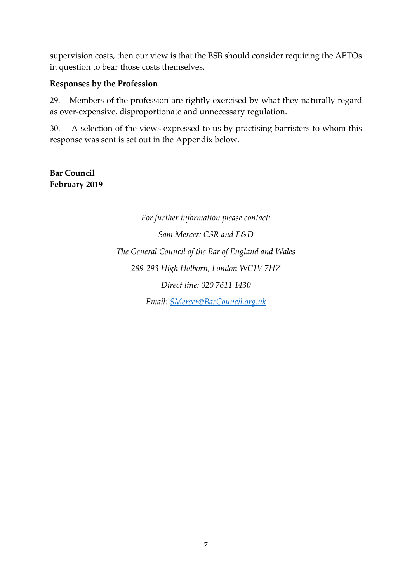supervision costs, then our view is that the BSB should consider requiring the AETOs in question to bear those costs themselves.

#### **Responses by the Profession**

29. Members of the profession are rightly exercised by what they naturally regard as over-expensive, disproportionate and unnecessary regulation.

30. A selection of the views expressed to us by practising barristers to whom this response was sent is set out in the Appendix below.

**Bar Council February 2019**

> *For further information please contact: Sam Mercer: CSR and E&D The General Council of the Bar of England and Wales 289-293 High Holborn, London WC1V 7HZ Direct line: 020 7611 1430 Email: [SMercer@BarCouncil.org.uk](mailto:SMercer@BarCouncil.org.uk)*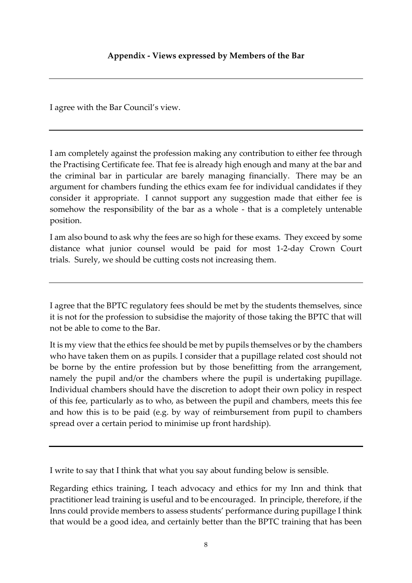I agree with the Bar Council's view.

I am completely against the profession making any contribution to either fee through the Practising Certificate fee. That fee is already high enough and many at the bar and the criminal bar in particular are barely managing financially. There may be an argument for chambers funding the ethics exam fee for individual candidates if they consider it appropriate. I cannot support any suggestion made that either fee is somehow the responsibility of the bar as a whole - that is a completely untenable position.

I am also bound to ask why the fees are so high for these exams. They exceed by some distance what junior counsel would be paid for most 1-2-day Crown Court trials. Surely, we should be cutting costs not increasing them.

I agree that the BPTC regulatory fees should be met by the students themselves, since it is not for the profession to subsidise the majority of those taking the BPTC that will not be able to come to the Bar.

It is my view that the ethics fee should be met by pupils themselves or by the chambers who have taken them on as pupils. I consider that a pupillage related cost should not be borne by the entire profession but by those benefitting from the arrangement, namely the pupil and/or the chambers where the pupil is undertaking pupillage. Individual chambers should have the discretion to adopt their own policy in respect of this fee, particularly as to who, as between the pupil and chambers, meets this fee and how this is to be paid (e.g. by way of reimbursement from pupil to chambers spread over a certain period to minimise up front hardship).

I write to say that I think that what you say about funding below is sensible.

Regarding ethics training, I teach advocacy and ethics for my Inn and think that practitioner lead training is useful and to be encouraged. In principle, therefore, if the Inns could provide members to assess students' performance during pupillage I think that would be a good idea, and certainly better than the BPTC training that has been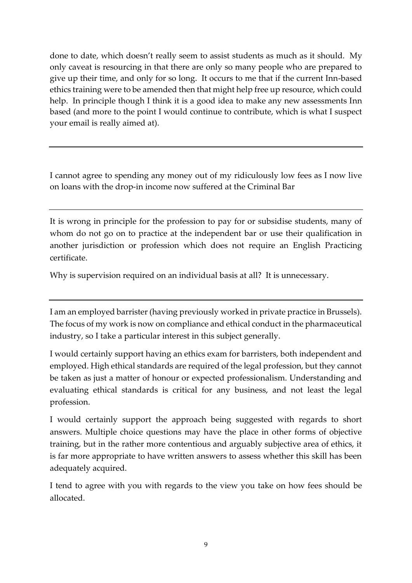done to date, which doesn't really seem to assist students as much as it should. My only caveat is resourcing in that there are only so many people who are prepared to give up their time, and only for so long. It occurs to me that if the current Inn-based ethics training were to be amended then that might help free up resource, which could help. In principle though I think it is a good idea to make any new assessments Inn based (and more to the point I would continue to contribute, which is what I suspect your email is really aimed at).

I cannot agree to spending any money out of my ridiculously low fees as I now live on loans with the drop-in income now suffered at the Criminal Bar

It is wrong in principle for the profession to pay for or subsidise students, many of whom do not go on to practice at the independent bar or use their qualification in another jurisdiction or profession which does not require an English Practicing certificate.

Why is supervision required on an individual basis at all? It is unnecessary.

I am an employed barrister (having previously worked in private practice in Brussels). The focus of my work is now on compliance and ethical conduct in the pharmaceutical industry, so I take a particular interest in this subject generally.

I would certainly support having an ethics exam for barristers, both independent and employed. High ethical standards are required of the legal profession, but they cannot be taken as just a matter of honour or expected professionalism. Understanding and evaluating ethical standards is critical for any business, and not least the legal profession.

I would certainly support the approach being suggested with regards to short answers. Multiple choice questions may have the place in other forms of objective training, but in the rather more contentious and arguably subjective area of ethics, it is far more appropriate to have written answers to assess whether this skill has been adequately acquired.

I tend to agree with you with regards to the view you take on how fees should be allocated.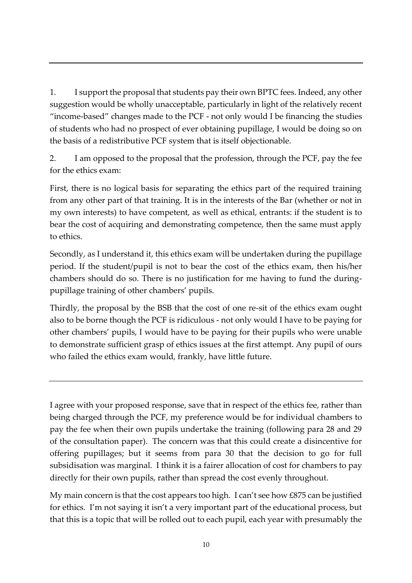1. I support the proposal that students pay their own BPTC fees. Indeed, any other suggestion would be wholly unacceptable, particularly in light of the relatively recent "income-based" changes made to the PCF - not only would I be financing the studies of students who had no prospect of ever obtaining pupillage, I would be doing so on the basis of a redistributive PCF system that is itself objectionable.

2. I am opposed to the proposal that the profession, through the PCF, pay the fee for the ethics exam:

First, there is no logical basis for separating the ethics part of the required training from any other part of that training. It is in the interests of the Bar (whether or not in my own interests) to have competent, as well as ethical, entrants: if the student is to bear the cost of acquiring and demonstrating competence, then the same must apply to ethics.

Secondly, as I understand it, this ethics exam will be undertaken during the pupillage period. If the student/pupil is not to bear the cost of the ethics exam, then his/her chambers should do so. There is no justification for me having to fund the duringpupillage training of other chambers' pupils.

Thirdly, the proposal by the BSB that the cost of one re-sit of the ethics exam ought also to be borne though the PCF is ridiculous - not only would I have to be paying for other chambers' pupils, I would have to be paying for their pupils who were unable to demonstrate sufficient grasp of ethics issues at the first attempt. Any pupil of ours who failed the ethics exam would, frankly, have little future.

I agree with your proposed response, save that in respect of the ethics fee, rather than being charged through the PCF, my preference would be for individual chambers to pay the fee when their own pupils undertake the training (following para 28 and 29 of the consultation paper). The concern was that this could create a disincentive for offering pupillages; but it seems from para 30 that the decision to go for full subsidisation was marginal. I think it is a fairer allocation of cost for chambers to pay directly for their own pupils, rather than spread the cost evenly throughout.

My main concern is that the cost appears too high. I can't see how £875 can be justified for ethics. I'm not saying it isn't a very important part of the educational process, but that this is a topic that will be rolled out to each pupil, each year with presumably the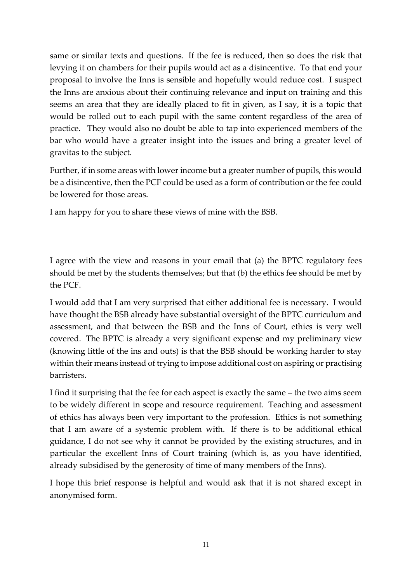same or similar texts and questions. If the fee is reduced, then so does the risk that levying it on chambers for their pupils would act as a disincentive. To that end your proposal to involve the Inns is sensible and hopefully would reduce cost. I suspect the Inns are anxious about their continuing relevance and input on training and this seems an area that they are ideally placed to fit in given, as I say, it is a topic that would be rolled out to each pupil with the same content regardless of the area of practice. They would also no doubt be able to tap into experienced members of the bar who would have a greater insight into the issues and bring a greater level of gravitas to the subject.

Further, if in some areas with lower income but a greater number of pupils, this would be a disincentive, then the PCF could be used as a form of contribution or the fee could be lowered for those areas.

I am happy for you to share these views of mine with the BSB.

I agree with the view and reasons in your email that (a) the BPTC regulatory fees should be met by the students themselves; but that (b) the ethics fee should be met by the PCF.

I would add that I am very surprised that either additional fee is necessary. I would have thought the BSB already have substantial oversight of the BPTC curriculum and assessment, and that between the BSB and the Inns of Court, ethics is very well covered. The BPTC is already a very significant expense and my preliminary view (knowing little of the ins and outs) is that the BSB should be working harder to stay within their means instead of trying to impose additional cost on aspiring or practising barristers.

I find it surprising that the fee for each aspect is exactly the same – the two aims seem to be widely different in scope and resource requirement. Teaching and assessment of ethics has always been very important to the profession. Ethics is not something that I am aware of a systemic problem with. If there is to be additional ethical guidance, I do not see why it cannot be provided by the existing structures, and in particular the excellent Inns of Court training (which is, as you have identified, already subsidised by the generosity of time of many members of the Inns).

I hope this brief response is helpful and would ask that it is not shared except in anonymised form.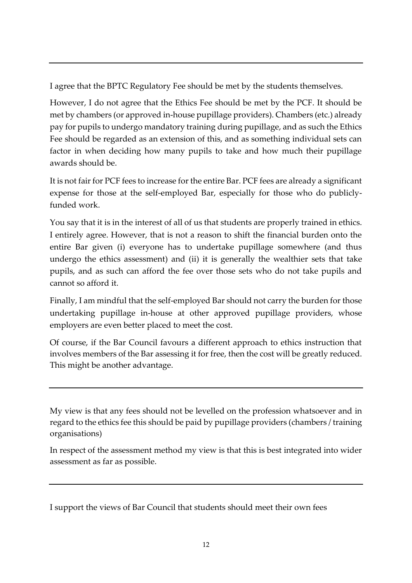I agree that the BPTC Regulatory Fee should be met by the students themselves.

However, I do not agree that the Ethics Fee should be met by the PCF. It should be met by chambers (or approved in-house pupillage providers). Chambers (etc.) already pay for pupils to undergo mandatory training during pupillage, and as such the Ethics Fee should be regarded as an extension of this, and as something individual sets can factor in when deciding how many pupils to take and how much their pupillage awards should be.

It is not fair for PCF fees to increase for the entire Bar. PCF fees are already a significant expense for those at the self-employed Bar, especially for those who do publiclyfunded work.

You say that it is in the interest of all of us that students are properly trained in ethics. I entirely agree. However, that is not a reason to shift the financial burden onto the entire Bar given (i) everyone has to undertake pupillage somewhere (and thus undergo the ethics assessment) and (ii) it is generally the wealthier sets that take pupils, and as such can afford the fee over those sets who do not take pupils and cannot so afford it.

Finally, I am mindful that the self-employed Bar should not carry the burden for those undertaking pupillage in-house at other approved pupillage providers, whose employers are even better placed to meet the cost.

Of course, if the Bar Council favours a different approach to ethics instruction that involves members of the Bar assessing it for free, then the cost will be greatly reduced. This might be another advantage.

My view is that any fees should not be levelled on the profession whatsoever and in regard to the ethics fee this should be paid by pupillage providers (chambers / training organisations)

In respect of the assessment method my view is that this is best integrated into wider assessment as far as possible.

I support the views of Bar Council that students should meet their own fees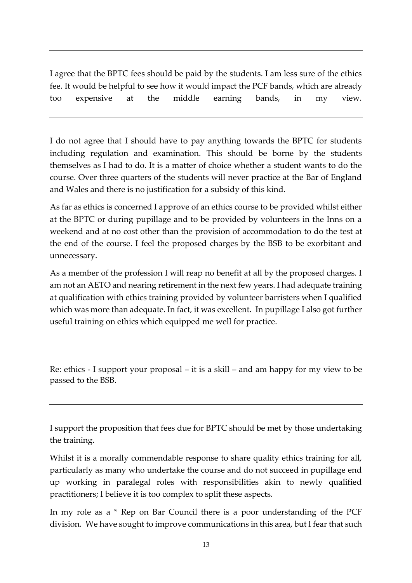I agree that the BPTC fees should be paid by the students. I am less sure of the ethics fee. It would be helpful to see how it would impact the PCF bands, which are already too expensive at the middle earning bands, in my view.

I do not agree that I should have to pay anything towards the BPTC for students including regulation and examination. This should be borne by the students themselves as I had to do. It is a matter of choice whether a student wants to do the course. Over three quarters of the students will never practice at the Bar of England and Wales and there is no justification for a subsidy of this kind.

As far as ethics is concerned I approve of an ethics course to be provided whilst either at the BPTC or during pupillage and to be provided by volunteers in the Inns on a weekend and at no cost other than the provision of accommodation to do the test at the end of the course. I feel the proposed charges by the BSB to be exorbitant and unnecessary.

As a member of the profession I will reap no benefit at all by the proposed charges. I am not an AETO and nearing retirement in the next few years. I had adequate training at qualification with ethics training provided by volunteer barristers when I qualified which was more than adequate. In fact, it was excellent. In pupillage I also got further useful training on ethics which equipped me well for practice.

Re: ethics - I support your proposal – it is a skill – and am happy for my view to be passed to the BSB.

I support the proposition that fees due for BPTC should be met by those undertaking the training.

Whilst it is a morally commendable response to share quality ethics training for all, particularly as many who undertake the course and do not succeed in pupillage end up working in paralegal roles with responsibilities akin to newly qualified practitioners; I believe it is too complex to split these aspects.

In my role as a \* Rep on Bar Council there is a poor understanding of the PCF division. We have sought to improve communications in this area, but I fear that such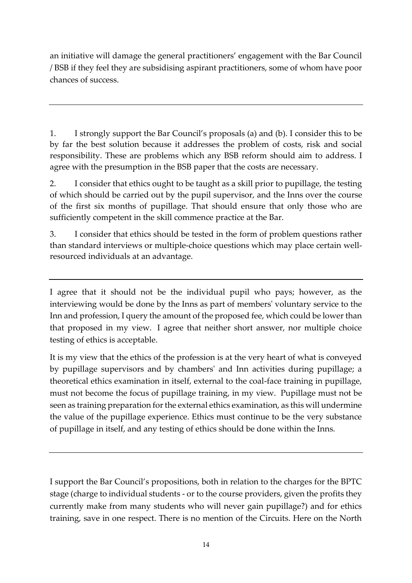an initiative will damage the general practitioners' engagement with the Bar Council / BSB if they feel they are subsidising aspirant practitioners, some of whom have poor chances of success.

1. I strongly support the Bar Council's proposals (a) and (b). I consider this to be by far the best solution because it addresses the problem of costs, risk and social responsibility. These are problems which any BSB reform should aim to address. I agree with the presumption in the BSB paper that the costs are necessary.

2. I consider that ethics ought to be taught as a skill prior to pupillage, the testing of which should be carried out by the pupil supervisor, and the Inns over the course of the first six months of pupillage. That should ensure that only those who are sufficiently competent in the skill commence practice at the Bar.

3. I consider that ethics should be tested in the form of problem questions rather than standard interviews or multiple-choice questions which may place certain wellresourced individuals at an advantage.

I agree that it should not be the individual pupil who pays; however, as the interviewing would be done by the Inns as part of members' voluntary service to the Inn and profession, I query the amount of the proposed fee, which could be lower than that proposed in my view. I agree that neither short answer, nor multiple choice testing of ethics is acceptable.

It is my view that the ethics of the profession is at the very heart of what is conveyed by pupillage supervisors and by chambers' and Inn activities during pupillage; a theoretical ethics examination in itself, external to the coal-face training in pupillage, must not become the focus of pupillage training, in my view. Pupillage must not be seen as training preparation for the external ethics examination, as this will undermine the value of the pupillage experience. Ethics must continue to be the very substance of pupillage in itself, and any testing of ethics should be done within the Inns.

I support the Bar Council's propositions, both in relation to the charges for the BPTC stage (charge to individual students - or to the course providers, given the profits they currently make from many students who will never gain pupillage?) and for ethics training, save in one respect. There is no mention of the Circuits. Here on the North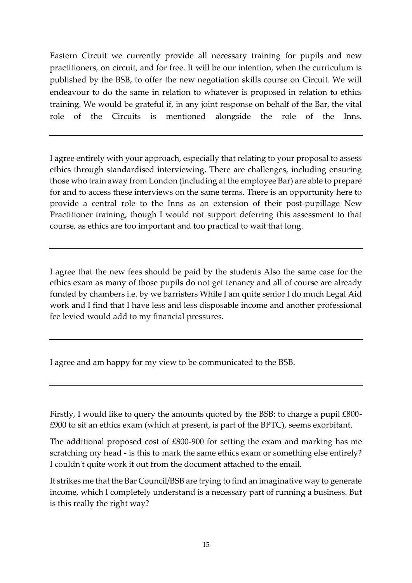Eastern Circuit we currently provide all necessary training for pupils and new practitioners, on circuit, and for free. It will be our intention, when the curriculum is published by the BSB, to offer the new negotiation skills course on Circuit. We will endeavour to do the same in relation to whatever is proposed in relation to ethics training. We would be grateful if, in any joint response on behalf of the Bar, the vital role of the Circuits is mentioned alongside the role of the Inns.

I agree entirely with your approach, especially that relating to your proposal to assess ethics through standardised interviewing. There are challenges, including ensuring those who train away from London (including at the employee Bar) are able to prepare for and to access these interviews on the same terms. There is an opportunity here to provide a central role to the Inns as an extension of their post-pupillage New Practitioner training, though I would not support deferring this assessment to that course, as ethics are too important and too practical to wait that long.

I agree that the new fees should be paid by the students Also the same case for the ethics exam as many of those pupils do not get tenancy and all of course are already funded by chambers i.e. by we barristers While I am quite senior I do much Legal Aid work and I find that I have less and less disposable income and another professional fee levied would add to my financial pressures.

I agree and am happy for my view to be communicated to the BSB.

Firstly, I would like to query the amounts quoted by the BSB: to charge a pupil £800- £900 to sit an ethics exam (which at present, is part of the BPTC), seems exorbitant.

The additional proposed cost of £800-900 for setting the exam and marking has me scratching my head - is this to mark the same ethics exam or something else entirely? I couldn't quite work it out from the document attached to the email.

It strikes me that the Bar Council/BSB are trying to find an imaginative way to generate income, which I completely understand is a necessary part of running a business. But is this really the right way?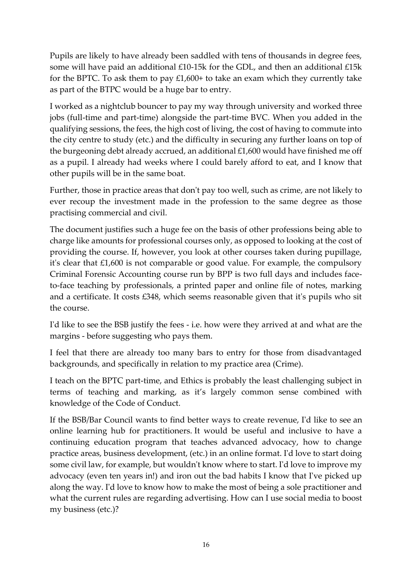Pupils are likely to have already been saddled with tens of thousands in degree fees, some will have paid an additional £10-15k for the GDL, and then an additional £15k for the BPTC. To ask them to pay £1,600+ to take an exam which they currently take as part of the BTPC would be a huge bar to entry.

I worked as a nightclub bouncer to pay my way through university and worked three jobs (full-time and part-time) alongside the part-time BVC. When you added in the qualifying sessions, the fees, the high cost of living, the cost of having to commute into the city centre to study (etc.) and the difficulty in securing any further loans on top of the burgeoning debt already accrued, an additional £1,600 would have finished me off as a pupil. I already had weeks where I could barely afford to eat, and I know that other pupils will be in the same boat.

Further, those in practice areas that don't pay too well, such as crime, are not likely to ever recoup the investment made in the profession to the same degree as those practising commercial and civil.

The document justifies such a huge fee on the basis of other professions being able to charge like amounts for professional courses only, as opposed to looking at the cost of providing the course. If, however, you look at other courses taken during pupillage, it's clear that £1,600 is not comparable or good value. For example, the compulsory Criminal Forensic Accounting course run by BPP is two full days and includes faceto-face teaching by professionals, a printed paper and online file of notes, marking and a certificate. It costs £348, which seems reasonable given that it's pupils who sit the course.

I'd like to see the BSB justify the fees - i.e. how were they arrived at and what are the margins - before suggesting who pays them.

I feel that there are already too many bars to entry for those from disadvantaged backgrounds, and specifically in relation to my practice area (Crime).

I teach on the BPTC part-time, and Ethics is probably the least challenging subject in terms of teaching and marking, as it's largely common sense combined with knowledge of the Code of Conduct.

If the BSB/Bar Council wants to find better ways to create revenue, I'd like to see an online learning hub for practitioners. It would be useful and inclusive to have a continuing education program that teaches advanced advocacy, how to change practice areas, business development, (etc.) in an online format. I'd love to start doing some civil law, for example, but wouldn't know where to start. I'd love to improve my advocacy (even ten years in!) and iron out the bad habits I know that I've picked up along the way. I'd love to know how to make the most of being a sole practitioner and what the current rules are regarding advertising. How can I use social media to boost my business (etc.)?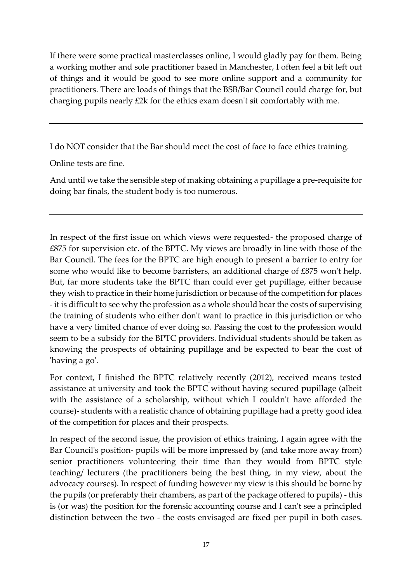If there were some practical masterclasses online, I would gladly pay for them. Being a working mother and sole practitioner based in Manchester, I often feel a bit left out of things and it would be good to see more online support and a community for practitioners. There are loads of things that the BSB/Bar Council could charge for, but charging pupils nearly £2k for the ethics exam doesn't sit comfortably with me.

I do NOT consider that the Bar should meet the cost of face to face ethics training.

Online tests are fine.

And until we take the sensible step of making obtaining a pupillage a pre-requisite for doing bar finals, the student body is too numerous.

In respect of the first issue on which views were requested- the proposed charge of £875 for supervision etc. of the BPTC. My views are broadly in line with those of the Bar Council. The fees for the BPTC are high enough to present a barrier to entry for some who would like to become barristers, an additional charge of £875 won't help. But, far more students take the BPTC than could ever get pupillage, either because they wish to practice in their home jurisdiction or because of the competition for places - it is difficult to see why the profession as a whole should bear the costs of supervising the training of students who either don't want to practice in this jurisdiction or who have a very limited chance of ever doing so. Passing the cost to the profession would seem to be a subsidy for the BPTC providers. Individual students should be taken as knowing the prospects of obtaining pupillage and be expected to bear the cost of 'having a go'.

For context, I finished the BPTC relatively recently (2012), received means tested assistance at university and took the BPTC without having secured pupillage (albeit with the assistance of a scholarship, without which I couldn't have afforded the course)- students with a realistic chance of obtaining pupillage had a pretty good idea of the competition for places and their prospects.

In respect of the second issue, the provision of ethics training, I again agree with the Bar Council's position- pupils will be more impressed by (and take more away from) senior practitioners volunteering their time than they would from BPTC style teaching/ lecturers (the practitioners being the best thing, in my view, about the advocacy courses). In respect of funding however my view is this should be borne by the pupils (or preferably their chambers, as part of the package offered to pupils) - this is (or was) the position for the forensic accounting course and I can't see a principled distinction between the two - the costs envisaged are fixed per pupil in both cases.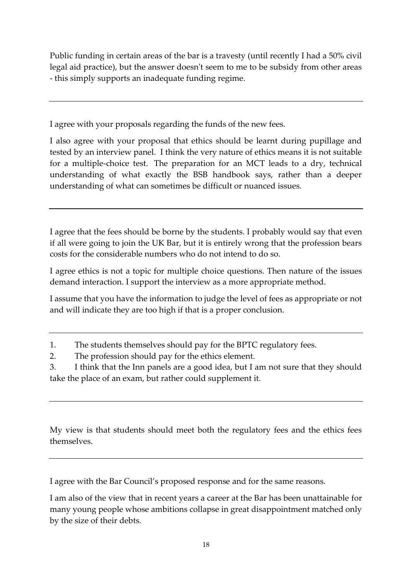Public funding in certain areas of the bar is a travesty (until recently I had a 50% civil legal aid practice), but the answer doesn't seem to me to be subsidy from other areas - this simply supports an inadequate funding regime.

I agree with your proposals regarding the funds of the new fees.

I also agree with your proposal that ethics should be learnt during pupillage and tested by an interview panel. I think the very nature of ethics means it is not suitable for a multiple-choice test. The preparation for an MCT leads to a dry, technical understanding of what exactly the BSB handbook says, rather than a deeper understanding of what can sometimes be difficult or nuanced issues.

I agree that the fees should be borne by the students. I probably would say that even if all were going to join the UK Bar, but it is entirely wrong that the profession bears costs for the considerable numbers who do not intend to do so.

I agree ethics is not a topic for multiple choice questions. Then nature of the issues demand interaction. I support the interview as a more appropriate method.

I assume that you have the information to judge the level of fees as appropriate or not and will indicate they are too high if that is a proper conclusion.

1. The students themselves should pay for the BPTC regulatory fees.

2. The profession should pay for the ethics element.

3. I think that the Inn panels are a good idea, but I am not sure that they should take the place of an exam, but rather could supplement it.

My view is that students should meet both the regulatory fees and the ethics fees themselves.

I agree with the Bar Council's proposed response and for the same reasons.

I am also of the view that in recent years a career at the Bar has been unattainable for many young people whose ambitions collapse in great disappointment matched only by the size of their debts.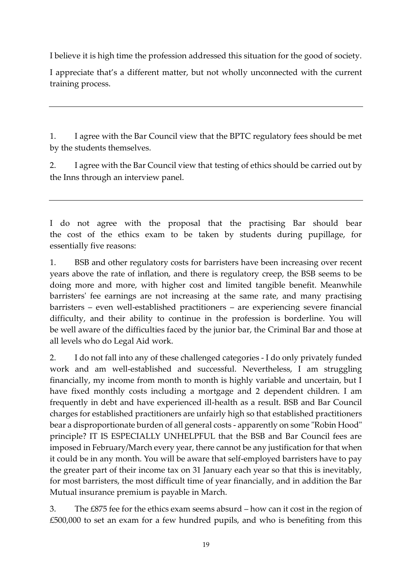I believe it is high time the profession addressed this situation for the good of society.

I appreciate that's a different matter, but not wholly unconnected with the current training process.

1. I agree with the Bar Council view that the BPTC regulatory fees should be met by the students themselves.

2. I agree with the Bar Council view that testing of ethics should be carried out by the Inns through an interview panel.

I do not agree with the proposal that the practising Bar should bear the cost of the ethics exam to be taken by students during pupillage, for essentially five reasons:

1. BSB and other regulatory costs for barristers have been increasing over recent years above the rate of inflation, and there is regulatory creep, the BSB seems to be doing more and more, with higher cost and limited tangible benefit. Meanwhile barristers' fee earnings are not increasing at the same rate, and many practising barristers – even well-established practitioners – are experiencing severe financial difficulty, and their ability to continue in the profession is borderline. You will be well aware of the difficulties faced by the junior bar, the Criminal Bar and those at all levels who do Legal Aid work.

2. I do not fall into any of these challenged categories - I do only privately funded work and am well-established and successful. Nevertheless, I am struggling financially, my income from month to month is highly variable and uncertain, but I have fixed monthly costs including a mortgage and 2 dependent children. I am frequently in debt and have experienced ill-health as a result. BSB and Bar Council charges for established practitioners are unfairly high so that established practitioners bear a disproportionate burden of all general costs - apparently on some "Robin Hood" principle? IT IS ESPECIALLY UNHELPFUL that the BSB and Bar Council fees are imposed in February/March every year, there cannot be any justification for that when it could be in any month. You will be aware that self-employed barristers have to pay the greater part of their income tax on 31 January each year so that this is inevitably, for most barristers, the most difficult time of year financially, and in addition the Bar Mutual insurance premium is payable in March.

3. The £875 fee for the ethics exam seems absurd – how can it cost in the region of £500,000 to set an exam for a few hundred pupils, and who is benefiting from this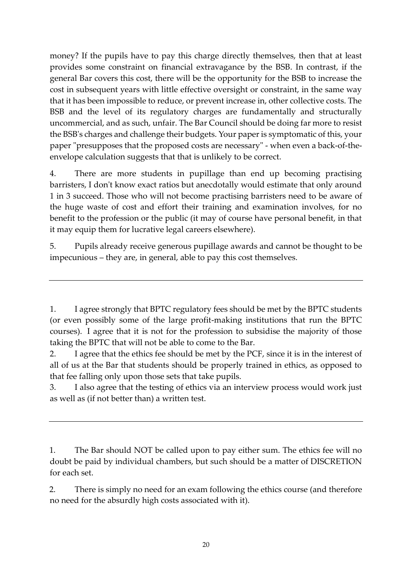money? If the pupils have to pay this charge directly themselves, then that at least provides some constraint on financial extravagance by the BSB. In contrast, if the general Bar covers this cost, there will be the opportunity for the BSB to increase the cost in subsequent years with little effective oversight or constraint, in the same way that it has been impossible to reduce, or prevent increase in, other collective costs. The BSB and the level of its regulatory charges are fundamentally and structurally uncommercial, and as such, unfair. The Bar Council should be doing far more to resist the BSB's charges and challenge their budgets. Your paper is symptomatic of this, your paper "presupposes that the proposed costs are necessary" - when even a back-of-theenvelope calculation suggests that that is unlikely to be correct.

4. There are more students in pupillage than end up becoming practising barristers, I don't know exact ratios but anecdotally would estimate that only around 1 in 3 succeed. Those who will not become practising barristers need to be aware of the huge waste of cost and effort their training and examination involves, for no benefit to the profession or the public (it may of course have personal benefit, in that it may equip them for lucrative legal careers elsewhere).

5. Pupils already receive generous pupillage awards and cannot be thought to be impecunious – they are, in general, able to pay this cost themselves.

1. I agree strongly that BPTC regulatory fees should be met by the BPTC students (or even possibly some of the large profit-making institutions that run the BPTC courses). I agree that it is not for the profession to subsidise the majority of those taking the BPTC that will not be able to come to the Bar.

2. I agree that the ethics fee should be met by the PCF, since it is in the interest of all of us at the Bar that students should be properly trained in ethics, as opposed to that fee falling only upon those sets that take pupils.

3. I also agree that the testing of ethics via an interview process would work just as well as (if not better than) a written test.

1. The Bar should NOT be called upon to pay either sum. The ethics fee will no doubt be paid by individual chambers, but such should be a matter of DISCRETION for each set.

2. There is simply no need for an exam following the ethics course (and therefore no need for the absurdly high costs associated with it).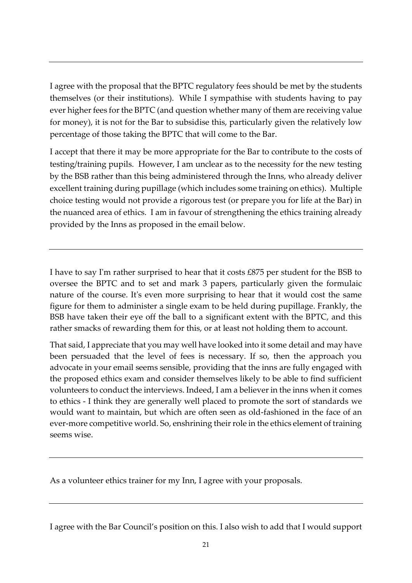I agree with the proposal that the BPTC regulatory fees should be met by the students themselves (or their institutions). While I sympathise with students having to pay ever higher fees for the BPTC (and question whether many of them are receiving value for money), it is not for the Bar to subsidise this, particularly given the relatively low percentage of those taking the BPTC that will come to the Bar.

I accept that there it may be more appropriate for the Bar to contribute to the costs of testing/training pupils. However, I am unclear as to the necessity for the new testing by the BSB rather than this being administered through the Inns, who already deliver excellent training during pupillage (which includes some training on ethics). Multiple choice testing would not provide a rigorous test (or prepare you for life at the Bar) in the nuanced area of ethics. I am in favour of strengthening the ethics training already provided by the Inns as proposed in the email below.

I have to say I'm rather surprised to hear that it costs £875 per student for the BSB to oversee the BPTC and to set and mark 3 papers, particularly given the formulaic nature of the course. It's even more surprising to hear that it would cost the same figure for them to administer a single exam to be held during pupillage. Frankly, the BSB have taken their eye off the ball to a significant extent with the BPTC, and this rather smacks of rewarding them for this, or at least not holding them to account.

That said, I appreciate that you may well have looked into it some detail and may have been persuaded that the level of fees is necessary. If so, then the approach you advocate in your email seems sensible, providing that the inns are fully engaged with the proposed ethics exam and consider themselves likely to be able to find sufficient volunteers to conduct the interviews. Indeed, I am a believer in the inns when it comes to ethics - I think they are generally well placed to promote the sort of standards we would want to maintain, but which are often seen as old-fashioned in the face of an ever-more competitive world. So, enshrining their role in the ethics element of training seems wise.

As a volunteer ethics trainer for my Inn, I agree with your proposals.

I agree with the Bar Council's position on this. I also wish to add that I would support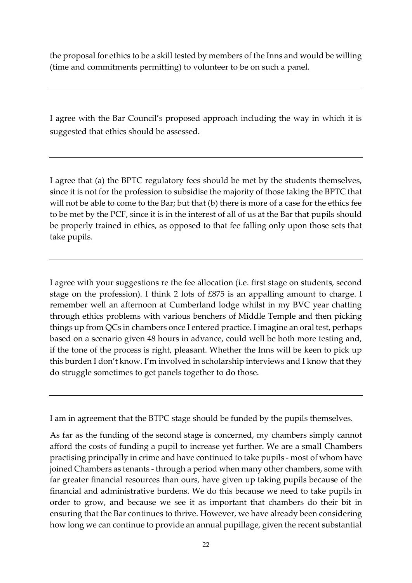the proposal for ethics to be a skill tested by members of the Inns and would be willing (time and commitments permitting) to volunteer to be on such a panel.

I agree with the Bar Council's proposed approach including the way in which it is suggested that ethics should be assessed.

I agree that (a) the BPTC regulatory fees should be met by the students themselves, since it is not for the profession to subsidise the majority of those taking the BPTC that will not be able to come to the Bar; but that (b) there is more of a case for the ethics fee to be met by the PCF, since it is in the interest of all of us at the Bar that pupils should be properly trained in ethics, as opposed to that fee falling only upon those sets that take pupils.

I agree with your suggestions re the fee allocation (i.e. first stage on students, second stage on the profession). I think 2 lots of £875 is an appalling amount to charge. I remember well an afternoon at Cumberland lodge whilst in my BVC year chatting through ethics problems with various benchers of Middle Temple and then picking things up from QCs in chambers once I entered practice. I imagine an oral test, perhaps based on a scenario given 48 hours in advance, could well be both more testing and, if the tone of the process is right, pleasant. Whether the Inns will be keen to pick up this burden I don't know. I'm involved in scholarship interviews and I know that they do struggle sometimes to get panels together to do those.

I am in agreement that the BTPC stage should be funded by the pupils themselves.

As far as the funding of the second stage is concerned, my chambers simply cannot afford the costs of funding a pupil to increase yet further. We are a small Chambers practising principally in crime and have continued to take pupils - most of whom have joined Chambers as tenants - through a period when many other chambers, some with far greater financial resources than ours, have given up taking pupils because of the financial and administrative burdens. We do this because we need to take pupils in order to grow, and because we see it as important that chambers do their bit in ensuring that the Bar continues to thrive. However, we have already been considering how long we can continue to provide an annual pupillage, given the recent substantial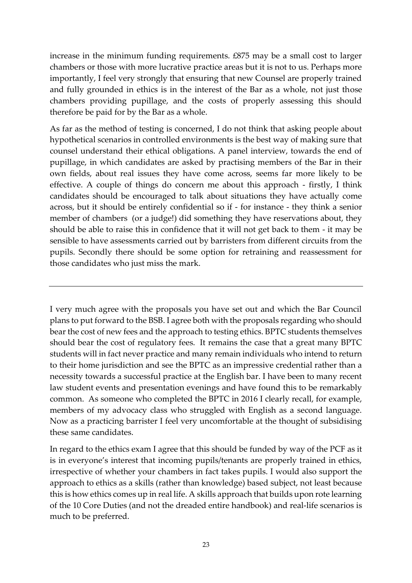increase in the minimum funding requirements. £875 may be a small cost to larger chambers or those with more lucrative practice areas but it is not to us. Perhaps more importantly, I feel very strongly that ensuring that new Counsel are properly trained and fully grounded in ethics is in the interest of the Bar as a whole, not just those chambers providing pupillage, and the costs of properly assessing this should therefore be paid for by the Bar as a whole.

As far as the method of testing is concerned, I do not think that asking people about hypothetical scenarios in controlled environments is the best way of making sure that counsel understand their ethical obligations. A panel interview, towards the end of pupillage, in which candidates are asked by practising members of the Bar in their own fields, about real issues they have come across, seems far more likely to be effective. A couple of things do concern me about this approach - firstly, I think candidates should be encouraged to talk about situations they have actually come across, but it should be entirely confidential so if - for instance - they think a senior member of chambers (or a judge!) did something they have reservations about, they should be able to raise this in confidence that it will not get back to them - it may be sensible to have assessments carried out by barristers from different circuits from the pupils. Secondly there should be some option for retraining and reassessment for those candidates who just miss the mark.

I very much agree with the proposals you have set out and which the Bar Council plans to put forward to the BSB. I agree both with the proposals regarding who should bear the cost of new fees and the approach to testing ethics. BPTC students themselves should bear the cost of regulatory fees. It remains the case that a great many BPTC students will in fact never practice and many remain individuals who intend to return to their home jurisdiction and see the BPTC as an impressive credential rather than a necessity towards a successful practice at the English bar. I have been to many recent law student events and presentation evenings and have found this to be remarkably common. As someone who completed the BPTC in 2016 I clearly recall, for example, members of my advocacy class who struggled with English as a second language. Now as a practicing barrister I feel very uncomfortable at the thought of subsidising these same candidates.

In regard to the ethics exam I agree that this should be funded by way of the PCF as it is in everyone's interest that incoming pupils/tenants are properly trained in ethics, irrespective of whether your chambers in fact takes pupils. I would also support the approach to ethics as a skills (rather than knowledge) based subject, not least because this is how ethics comes up in real life. A skills approach that builds upon rote learning of the 10 Core Duties (and not the dreaded entire handbook) and real-life scenarios is much to be preferred.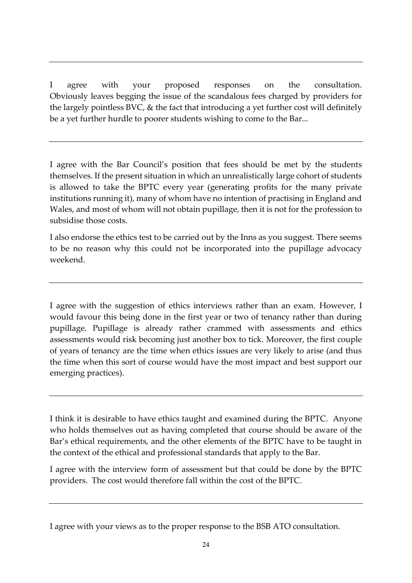I agree with your proposed responses on the consultation. Obviously leaves begging the issue of the scandalous fees charged by providers for the largely pointless BVC, & the fact that introducing a yet further cost will definitely be a yet further hurdle to poorer students wishing to come to the Bar...

I agree with the Bar Council's position that fees should be met by the students themselves. If the present situation in which an unrealistically large cohort of students is allowed to take the BPTC every year (generating profits for the many private institutions running it), many of whom have no intention of practising in England and Wales, and most of whom will not obtain pupillage, then it is not for the profession to subsidise those costs.

I also endorse the ethics test to be carried out by the Inns as you suggest. There seems to be no reason why this could not be incorporated into the pupillage advocacy weekend.

I agree with the suggestion of ethics interviews rather than an exam. However, I would favour this being done in the first year or two of tenancy rather than during pupillage. Pupillage is already rather crammed with assessments and ethics assessments would risk becoming just another box to tick. Moreover, the first couple of years of tenancy are the time when ethics issues are very likely to arise (and thus the time when this sort of course would have the most impact and best support our emerging practices).

I think it is desirable to have ethics taught and examined during the BPTC. Anyone who holds themselves out as having completed that course should be aware of the Bar's ethical requirements, and the other elements of the BPTC have to be taught in the context of the ethical and professional standards that apply to the Bar.

I agree with the interview form of assessment but that could be done by the BPTC providers. The cost would therefore fall within the cost of the BPTC.

I agree with your views as to the proper response to the BSB ATO consultation.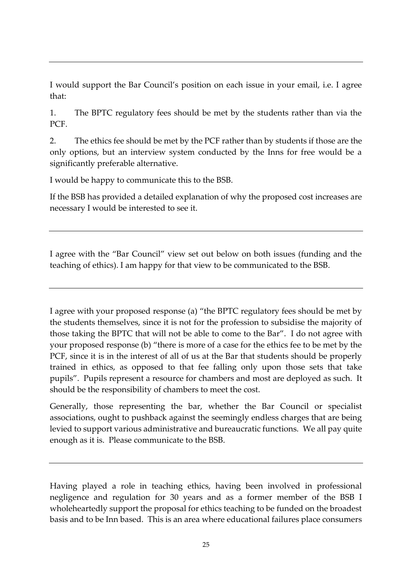I would support the Bar Council's position on each issue in your email, i.e. I agree that:

1. The BPTC regulatory fees should be met by the students rather than via the PC<sub>F</sub>

2. The ethics fee should be met by the PCF rather than by students if those are the only options, but an interview system conducted by the Inns for free would be a significantly preferable alternative.

I would be happy to communicate this to the BSB.

If the BSB has provided a detailed explanation of why the proposed cost increases are necessary I would be interested to see it.

I agree with the "Bar Council" view set out below on both issues (funding and the teaching of ethics). I am happy for that view to be communicated to the BSB.

I agree with your proposed response (a) "the BPTC regulatory fees should be met by the students themselves, since it is not for the profession to subsidise the majority of those taking the BPTC that will not be able to come to the Bar". I do not agree with your proposed response (b) "there is more of a case for the ethics fee to be met by the PCF, since it is in the interest of all of us at the Bar that students should be properly trained in ethics, as opposed to that fee falling only upon those sets that take pupils". Pupils represent a resource for chambers and most are deployed as such. It should be the responsibility of chambers to meet the cost.

Generally, those representing the bar, whether the Bar Council or specialist associations, ought to pushback against the seemingly endless charges that are being levied to support various administrative and bureaucratic functions. We all pay quite enough as it is. Please communicate to the BSB.

Having played a role in teaching ethics, having been involved in professional negligence and regulation for 30 years and as a former member of the BSB I wholeheartedly support the proposal for ethics teaching to be funded on the broadest basis and to be Inn based. This is an area where educational failures place consumers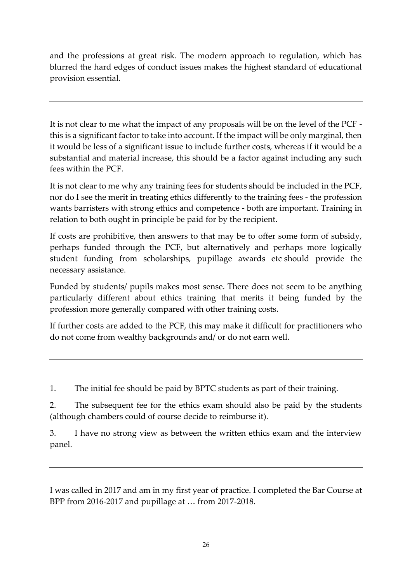and the professions at great risk. The modern approach to regulation, which has blurred the hard edges of conduct issues makes the highest standard of educational provision essential.

It is not clear to me what the impact of any proposals will be on the level of the PCF this is a significant factor to take into account. If the impact will be only marginal, then it would be less of a significant issue to include further costs, whereas if it would be a substantial and material increase, this should be a factor against including any such fees within the PCF.

It is not clear to me why any training fees for students should be included in the PCF, nor do I see the merit in treating ethics differently to the training fees - the profession wants barristers with strong ethics and competence - both are important. Training in relation to both ought in principle be paid for by the recipient.

If costs are prohibitive, then answers to that may be to offer some form of subsidy, perhaps funded through the PCF, but alternatively and perhaps more logically student funding from scholarships, pupillage awards etc should provide the necessary assistance.

Funded by students/ pupils makes most sense. There does not seem to be anything particularly different about ethics training that merits it being funded by the profession more generally compared with other training costs.

If further costs are added to the PCF, this may make it difficult for practitioners who do not come from wealthy backgrounds and/ or do not earn well.

1. The initial fee should be paid by BPTC students as part of their training.

2. The subsequent fee for the ethics exam should also be paid by the students (although chambers could of course decide to reimburse it).

3. I have no strong view as between the written ethics exam and the interview panel.

I was called in 2017 and am in my first year of practice. I completed the Bar Course at BPP from 2016-2017 and pupillage at … from 2017-2018.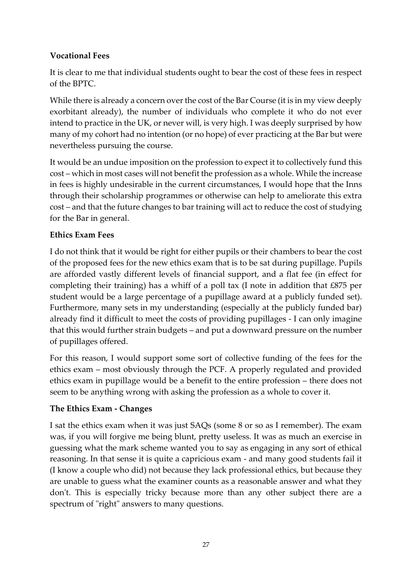### **Vocational Fees**

It is clear to me that individual students ought to bear the cost of these fees in respect of the BPTC.

While there is already a concern over the cost of the Bar Course (it is in my view deeply exorbitant already), the number of individuals who complete it who do not ever intend to practice in the UK, or never will, is very high. I was deeply surprised by how many of my cohort had no intention (or no hope) of ever practicing at the Bar but were nevertheless pursuing the course.

It would be an undue imposition on the profession to expect it to collectively fund this cost – which in most cases will not benefit the profession as a whole. While the increase in fees is highly undesirable in the current circumstances, I would hope that the Inns through their scholarship programmes or otherwise can help to ameliorate this extra cost – and that the future changes to bar training will act to reduce the cost of studying for the Bar in general.

#### **Ethics Exam Fees**

I do not think that it would be right for either pupils or their chambers to bear the cost of the proposed fees for the new ethics exam that is to be sat during pupillage. Pupils are afforded vastly different levels of financial support, and a flat fee (in effect for completing their training) has a whiff of a poll tax (I note in addition that £875 per student would be a large percentage of a pupillage award at a publicly funded set). Furthermore, many sets in my understanding (especially at the publicly funded bar) already find it difficult to meet the costs of providing pupillages - I can only imagine that this would further strain budgets – and put a downward pressure on the number of pupillages offered.

For this reason, I would support some sort of collective funding of the fees for the ethics exam – most obviously through the PCF. A properly regulated and provided ethics exam in pupillage would be a benefit to the entire profession – there does not seem to be anything wrong with asking the profession as a whole to cover it.

# **The Ethics Exam - Changes**

I sat the ethics exam when it was just SAQs (some 8 or so as I remember). The exam was, if you will forgive me being blunt, pretty useless. It was as much an exercise in guessing what the mark scheme wanted you to say as engaging in any sort of ethical reasoning. In that sense it is quite a capricious exam - and many good students fail it (I know a couple who did) not because they lack professional ethics, but because they are unable to guess what the examiner counts as a reasonable answer and what they don't. This is especially tricky because more than any other subject there are a spectrum of "right" answers to many questions.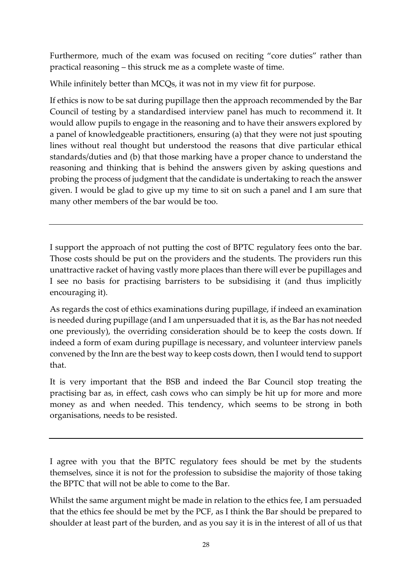Furthermore, much of the exam was focused on reciting "core duties" rather than practical reasoning – this struck me as a complete waste of time.

While infinitely better than MCQs, it was not in my view fit for purpose.

If ethics is now to be sat during pupillage then the approach recommended by the Bar Council of testing by a standardised interview panel has much to recommend it. It would allow pupils to engage in the reasoning and to have their answers explored by a panel of knowledgeable practitioners, ensuring (a) that they were not just spouting lines without real thought but understood the reasons that dive particular ethical standards/duties and (b) that those marking have a proper chance to understand the reasoning and thinking that is behind the answers given by asking questions and probing the process of judgment that the candidate is undertaking to reach the answer given. I would be glad to give up my time to sit on such a panel and I am sure that many other members of the bar would be too.

I support the approach of not putting the cost of BPTC regulatory fees onto the bar. Those costs should be put on the providers and the students. The providers run this unattractive racket of having vastly more places than there will ever be pupillages and I see no basis for practising barristers to be subsidising it (and thus implicitly encouraging it).

As regards the cost of ethics examinations during pupillage, if indeed an examination is needed during pupillage (and I am unpersuaded that it is, as the Bar has not needed one previously), the overriding consideration should be to keep the costs down. If indeed a form of exam during pupillage is necessary, and volunteer interview panels convened by the Inn are the best way to keep costs down, then I would tend to support that.

It is very important that the BSB and indeed the Bar Council stop treating the practising bar as, in effect, cash cows who can simply be hit up for more and more money as and when needed. This tendency, which seems to be strong in both organisations, needs to be resisted.

I agree with you that the BPTC regulatory fees should be met by the students themselves, since it is not for the profession to subsidise the majority of those taking the BPTC that will not be able to come to the Bar.

Whilst the same argument might be made in relation to the ethics fee, I am persuaded that the ethics fee should be met by the PCF, as I think the Bar should be prepared to shoulder at least part of the burden, and as you say it is in the interest of all of us that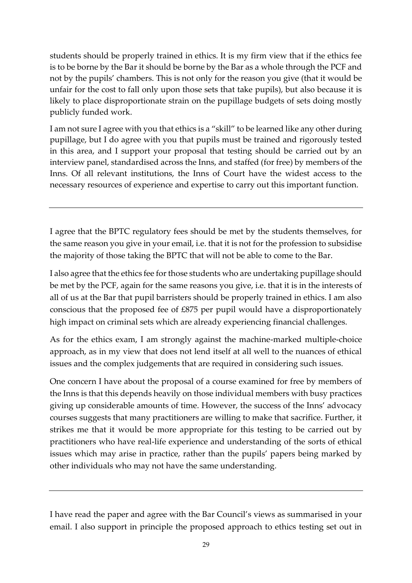students should be properly trained in ethics. It is my firm view that if the ethics fee is to be borne by the Bar it should be borne by the Bar as a whole through the PCF and not by the pupils' chambers. This is not only for the reason you give (that it would be unfair for the cost to fall only upon those sets that take pupils), but also because it is likely to place disproportionate strain on the pupillage budgets of sets doing mostly publicly funded work.

I am not sure I agree with you that ethics is a "skill" to be learned like any other during pupillage, but I do agree with you that pupils must be trained and rigorously tested in this area, and I support your proposal that testing should be carried out by an interview panel, standardised across the Inns, and staffed (for free) by members of the Inns. Of all relevant institutions, the Inns of Court have the widest access to the necessary resources of experience and expertise to carry out this important function.

I agree that the BPTC regulatory fees should be met by the students themselves, for the same reason you give in your email, i.e. that it is not for the profession to subsidise the majority of those taking the BPTC that will not be able to come to the Bar.

I also agree that the ethics fee for those students who are undertaking pupillage should be met by the PCF, again for the same reasons you give, i.e. that it is in the interests of all of us at the Bar that pupil barristers should be properly trained in ethics. I am also conscious that the proposed fee of £875 per pupil would have a disproportionately high impact on criminal sets which are already experiencing financial challenges.

As for the ethics exam, I am strongly against the machine-marked multiple-choice approach, as in my view that does not lend itself at all well to the nuances of ethical issues and the complex judgements that are required in considering such issues.

One concern I have about the proposal of a course examined for free by members of the Inns is that this depends heavily on those individual members with busy practices giving up considerable amounts of time. However, the success of the Inns' advocacy courses suggests that many practitioners are willing to make that sacrifice. Further, it strikes me that it would be more appropriate for this testing to be carried out by practitioners who have real-life experience and understanding of the sorts of ethical issues which may arise in practice, rather than the pupils' papers being marked by other individuals who may not have the same understanding.

I have read the paper and agree with the Bar Council's views as summarised in your email. I also support in principle the proposed approach to ethics testing set out in